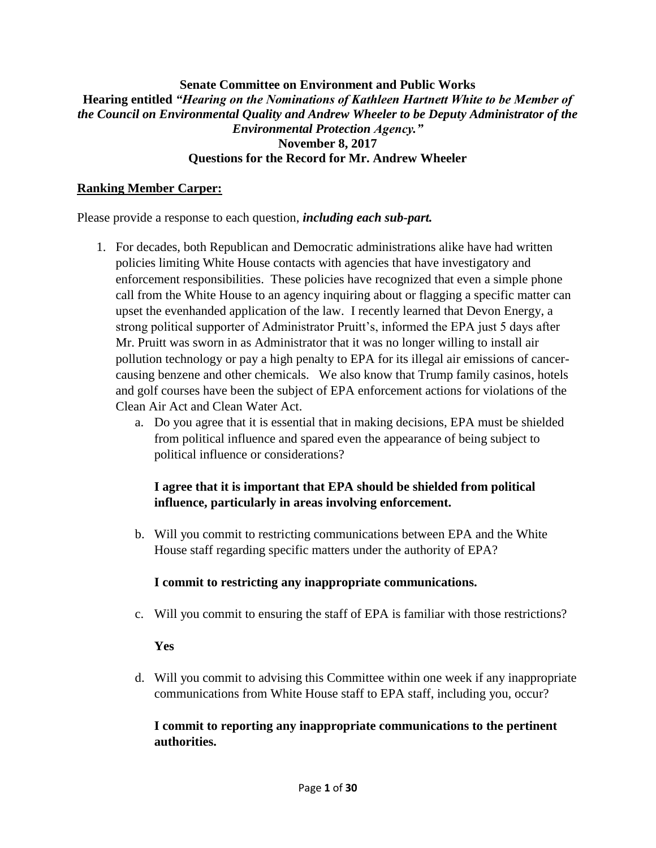#### **Senate Committee on Environment and Public Works Hearing entitled** *"Hearing on the Nominations of Kathleen Hartnett White to be Member of the Council on Environmental Quality and Andrew Wheeler to be Deputy Administrator of the Environmental Protection Agency."* **November 8, 2017 Questions for the Record for Mr. Andrew Wheeler**

#### **Ranking Member Carper:**

Please provide a response to each question, *including each sub-part.*

- 1. For decades, both Republican and Democratic administrations alike have had written policies limiting White House contacts with agencies that have investigatory and enforcement responsibilities. These policies have recognized that even a simple phone call from the White House to an agency inquiring about or flagging a specific matter can upset the evenhanded application of the law. I recently learned that Devon Energy, a strong political supporter of Administrator Pruitt's, informed the EPA just 5 days after Mr. Pruitt was sworn in as Administrator that it was no longer willing to install air pollution technology or pay a high penalty to EPA for its illegal air emissions of cancercausing benzene and other chemicals. We also know that Trump family casinos, hotels and golf courses have been the subject of EPA enforcement actions for violations of the Clean Air Act and Clean Water Act.
	- a. Do you agree that it is essential that in making decisions, EPA must be shielded from political influence and spared even the appearance of being subject to political influence or considerations?

## **I agree that it is important that EPA should be shielded from political influence, particularly in areas involving enforcement.**

b. Will you commit to restricting communications between EPA and the White House staff regarding specific matters under the authority of EPA?

#### **I commit to restricting any inappropriate communications.**

c. Will you commit to ensuring the staff of EPA is familiar with those restrictions?

#### **Yes**

d. Will you commit to advising this Committee within one week if any inappropriate communications from White House staff to EPA staff, including you, occur?

### **I commit to reporting any inappropriate communications to the pertinent authorities.**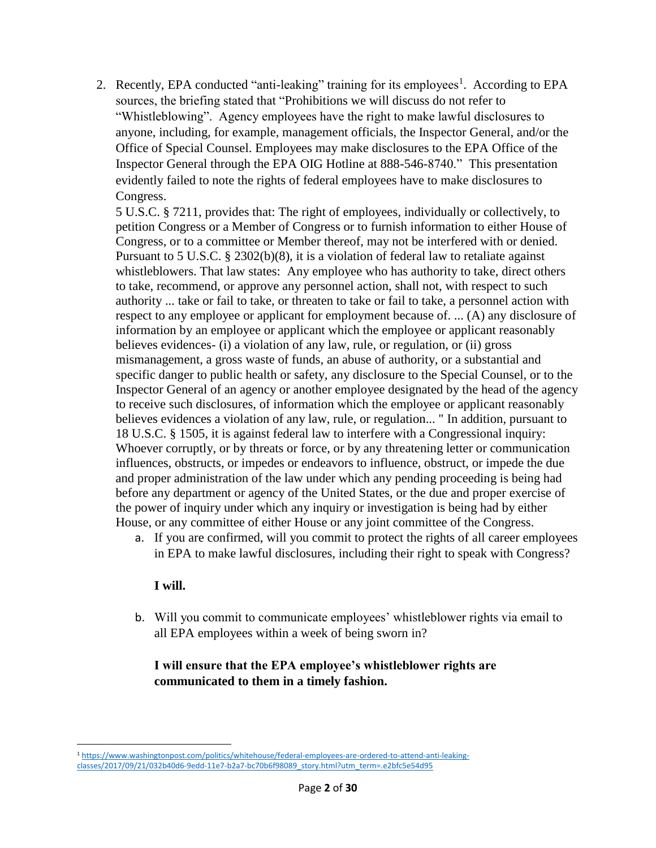2. Recently, EPA conducted "anti-leaking" training for its employees<sup>1</sup>. According to EPA sources, the briefing stated that "Prohibitions we will discuss do not refer to "Whistleblowing". Agency employees have the right to make lawful disclosures to anyone, including, for example, management officials, the Inspector General, and/or the Office of Special Counsel. Employees may make disclosures to the EPA Office of the Inspector General through the EPA OIG Hotline at 888-546-8740." This presentation evidently failed to note the rights of federal employees have to make disclosures to Congress.

5 U.S.C. § 7211, provides that: The right of employees, individually or collectively, to petition Congress or a Member of Congress or to furnish information to either House of Congress, or to a committee or Member thereof, may not be interfered with or denied. Pursuant to 5 U.S.C. § 2302(b)(8), it is a violation of federal law to retaliate against whistleblowers. That law states: Any employee who has authority to take, direct others to take, recommend, or approve any personnel action, shall not, with respect to such authority ... take or fail to take, or threaten to take or fail to take, a personnel action with respect to any employee or applicant for employment because of. ... (A) any disclosure of information by an employee or applicant which the employee or applicant reasonably believes evidences- (i) a violation of any law, rule, or regulation, or (ii) gross mismanagement, a gross waste of funds, an abuse of authority, or a substantial and specific danger to public health or safety, any disclosure to the Special Counsel, or to the Inspector General of an agency or another employee designated by the head of the agency to receive such disclosures, of information which the employee or applicant reasonably believes evidences a violation of any law, rule, or regulation... " In addition, pursuant to 18 U.S.C. § 1505, it is against federal law to interfere with a Congressional inquiry: Whoever corruptly, or by threats or force, or by any threatening letter or communication influences, obstructs, or impedes or endeavors to influence, obstruct, or impede the due and proper administration of the law under which any pending proceeding is being had before any department or agency of the United States, or the due and proper exercise of the power of inquiry under which any inquiry or investigation is being had by either House, or any committee of either House or any joint committee of the Congress.

a. If you are confirmed, will you commit to protect the rights of all career employees in EPA to make lawful disclosures, including their right to speak with Congress?

#### **I will.**

 $\overline{a}$ 

b. Will you commit to communicate employees' whistleblower rights via email to all EPA employees within a week of being sworn in?

## **I will ensure that the EPA employee's whistleblower rights are communicated to them in a timely fashion.**

<sup>1</sup> [https://www.washingtonpost.com/politics/whitehouse/federal-employees-are-ordered-to-attend-anti-leaking](https://www.washingtonpost.com/politics/whitehouse/federal-employees-are-ordered-to-attend-anti-leaking-classes/2017/09/21/032b40d6-9edd-11e7-b2a7-bc70b6f98089_story.html?utm_term=.e2bfc5e54d95)[classes/2017/09/21/032b40d6-9edd-11e7-b2a7-bc70b6f98089\\_story.html?utm\\_term=.e2bfc5e54d95](https://www.washingtonpost.com/politics/whitehouse/federal-employees-are-ordered-to-attend-anti-leaking-classes/2017/09/21/032b40d6-9edd-11e7-b2a7-bc70b6f98089_story.html?utm_term=.e2bfc5e54d95)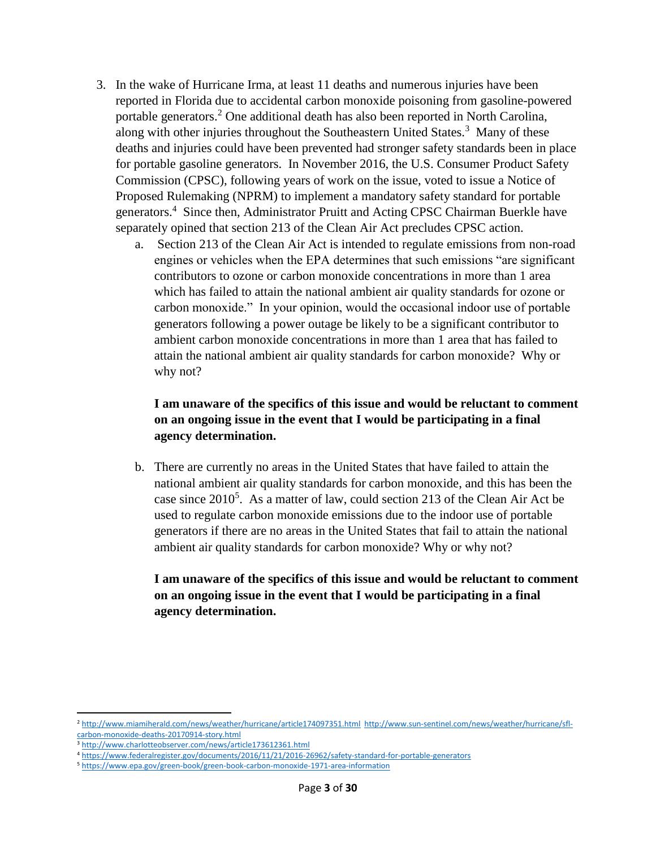- 3. In the wake of Hurricane Irma, at least 11 deaths and numerous injuries have been reported in Florida due to accidental carbon monoxide poisoning from gasoline-powered portable generators.<sup>2</sup> One additional death has also been reported in North Carolina, along with other injuries throughout the Southeastern United States.<sup>3</sup> Many of these deaths and injuries could have been prevented had stronger safety standards been in place for portable gasoline generators. In November 2016, the U.S. Consumer Product Safety Commission (CPSC), following years of work on the issue, voted to issue a Notice of Proposed Rulemaking (NPRM) to implement a mandatory safety standard for portable generators.<sup>4</sup> Since then, Administrator Pruitt and Acting CPSC Chairman Buerkle have separately opined that section 213 of the Clean Air Act precludes CPSC action.
	- a. Section 213 of the Clean Air Act is intended to regulate emissions from non-road engines or vehicles when the EPA determines that such emissions "are significant contributors to ozone or carbon monoxide concentrations in more than 1 area which has failed to attain the national ambient air quality standards for ozone or carbon monoxide." In your opinion, would the occasional indoor use of portable generators following a power outage be likely to be a significant contributor to ambient carbon monoxide concentrations in more than 1 area that has failed to attain the national ambient air quality standards for carbon monoxide? Why or why not?

### **I am unaware of the specifics of this issue and would be reluctant to comment on an ongoing issue in the event that I would be participating in a final agency determination.**

b. There are currently no areas in the United States that have failed to attain the national ambient air quality standards for carbon monoxide, and this has been the case since  $2010^5$ . As a matter of law, could section 213 of the Clean Air Act be used to regulate carbon monoxide emissions due to the indoor use of portable generators if there are no areas in the United States that fail to attain the national ambient air quality standards for carbon monoxide? Why or why not?

### **I am unaware of the specifics of this issue and would be reluctant to comment on an ongoing issue in the event that I would be participating in a final agency determination.**

 $\overline{a}$ 

<sup>2</sup> <http://www.miamiherald.com/news/weather/hurricane/article174097351.html>[http://www.sun-sentinel.com/news/weather/hurricane/sfl](http://www.sun-sentinel.com/news/weather/hurricane/sfl-carbon-monoxide-deaths-20170914-story.html)[carbon-monoxide-deaths-20170914-story.html](http://www.sun-sentinel.com/news/weather/hurricane/sfl-carbon-monoxide-deaths-20170914-story.html)

<sup>3</sup> <http://www.charlotteobserver.com/news/article173612361.html>

<sup>4</sup> <https://www.federalregister.gov/documents/2016/11/21/2016-26962/safety-standard-for-portable-generators>

<sup>5</sup> <https://www.epa.gov/green-book/green-book-carbon-monoxide-1971-area-information>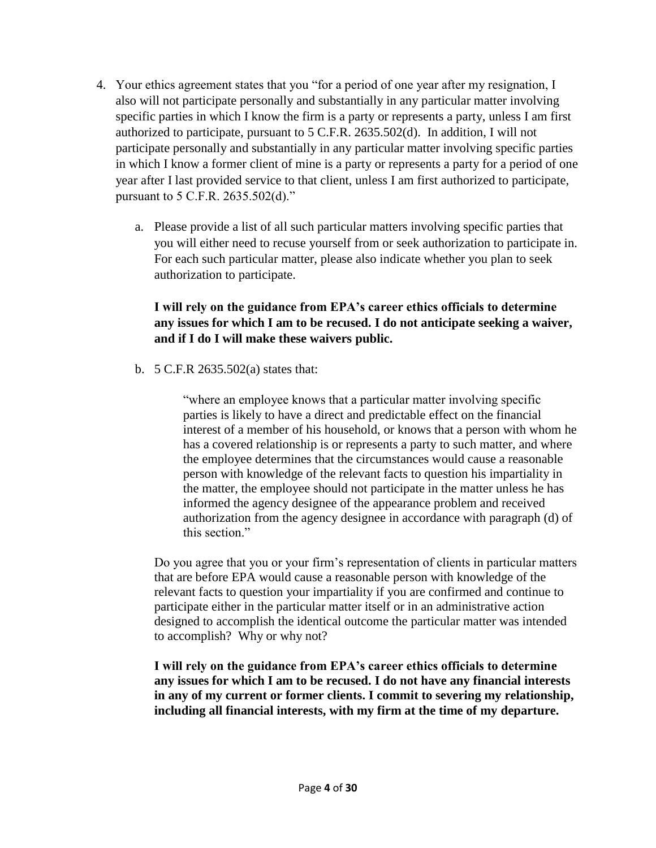- 4. Your ethics agreement states that you "for a period of one year after my resignation, I also will not participate personally and substantially in any particular matter involving specific parties in which I know the firm is a party or represents a party, unless I am first authorized to participate, pursuant to 5 C.F.R. 2635.502(d). In addition, I will not participate personally and substantially in any particular matter involving specific parties in which I know a former client of mine is a party or represents a party for a period of one year after I last provided service to that client, unless I am first authorized to participate, pursuant to 5 C.F.R. 2635.502(d)."
	- a. Please provide a list of all such particular matters involving specific parties that you will either need to recuse yourself from or seek authorization to participate in. For each such particular matter, please also indicate whether you plan to seek authorization to participate.

## **I will rely on the guidance from EPA's career ethics officials to determine any issues for which I am to be recused. I do not anticipate seeking a waiver, and if I do I will make these waivers public.**

b. 5 C.F.R 2635.502(a) states that:

"where an employee knows that a particular matter involving specific parties is likely to have a direct and predictable effect on the financial interest of a member of his household, or knows that a person with whom he has a covered relationship is or represents a party to such matter, and where the employee determines that the circumstances would cause a reasonable person with knowledge of the relevant facts to question his impartiality in the matter, the employee should not participate in the matter unless he has informed the agency designee of the appearance problem and received authorization from the agency designee in accordance with paragraph (d) of this section."

Do you agree that you or your firm's representation of clients in particular matters that are before EPA would cause a reasonable person with knowledge of the relevant facts to question your impartiality if you are confirmed and continue to participate either in the particular matter itself or in an administrative action designed to accomplish the identical outcome the particular matter was intended to accomplish? Why or why not?

**I will rely on the guidance from EPA's career ethics officials to determine any issues for which I am to be recused. I do not have any financial interests in any of my current or former clients. I commit to severing my relationship, including all financial interests, with my firm at the time of my departure.**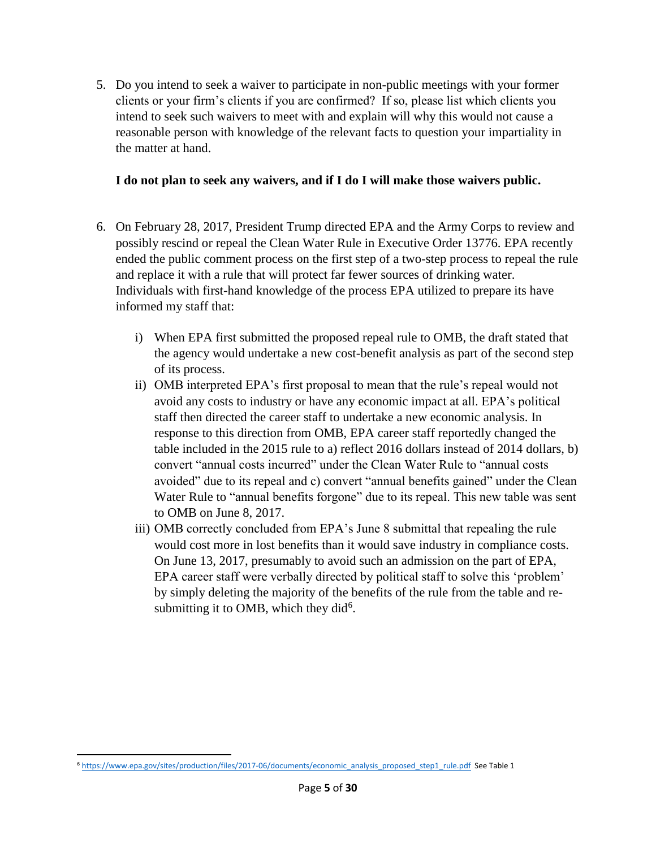5. Do you intend to seek a waiver to participate in non-public meetings with your former clients or your firm's clients if you are confirmed? If so, please list which clients you intend to seek such waivers to meet with and explain will why this would not cause a reasonable person with knowledge of the relevant facts to question your impartiality in the matter at hand.

## **I do not plan to seek any waivers, and if I do I will make those waivers public.**

- 6. On February 28, 2017, President Trump directed EPA and the Army Corps to review and possibly rescind or repeal the Clean Water Rule in Executive Order 13776. EPA recently ended the public comment process on the first step of a two-step process to repeal the rule and replace it with a rule that will protect far fewer sources of drinking water. Individuals with first-hand knowledge of the process EPA utilized to prepare its have informed my staff that:
	- i) When EPA first submitted the proposed repeal rule to OMB, the draft stated that the agency would undertake a new cost-benefit analysis as part of the second step of its process.
	- ii) OMB interpreted EPA's first proposal to mean that the rule's repeal would not avoid any costs to industry or have any economic impact at all. EPA's political staff then directed the career staff to undertake a new economic analysis. In response to this direction from OMB, EPA career staff reportedly changed the table included in the 2015 rule to a) reflect 2016 dollars instead of 2014 dollars, b) convert "annual costs incurred" under the Clean Water Rule to "annual costs avoided" due to its repeal and c) convert "annual benefits gained" under the Clean Water Rule to "annual benefits forgone" due to its repeal. This new table was sent to OMB on June 8, 2017.
	- iii) OMB correctly concluded from EPA's June 8 submittal that repealing the rule would cost more in lost benefits than it would save industry in compliance costs. On June 13, 2017, presumably to avoid such an admission on the part of EPA, EPA career staff were verbally directed by political staff to solve this 'problem' by simply deleting the majority of the benefits of the rule from the table and resubmitting it to OMB, which they did $6$ .

l <sup>6</sup> [https://www.epa.gov/sites/production/files/2017-06/documents/economic\\_analysis\\_proposed\\_step1\\_rule.pdf](https://www.epa.gov/sites/production/files/2017-06/documents/economic_analysis_proposed_step1_rule.pdf) See Table 1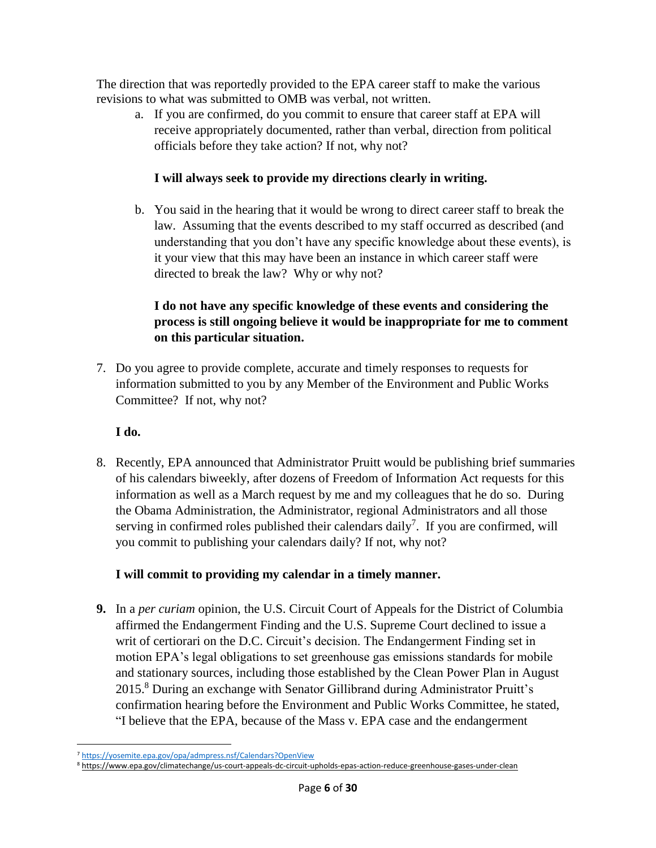The direction that was reportedly provided to the EPA career staff to make the various revisions to what was submitted to OMB was verbal, not written.

a. If you are confirmed, do you commit to ensure that career staff at EPA will receive appropriately documented, rather than verbal, direction from political officials before they take action? If not, why not?

# **I will always seek to provide my directions clearly in writing.**

b. You said in the hearing that it would be wrong to direct career staff to break the law. Assuming that the events described to my staff occurred as described (and understanding that you don't have any specific knowledge about these events), is it your view that this may have been an instance in which career staff were directed to break the law? Why or why not?

# **I do not have any specific knowledge of these events and considering the process is still ongoing believe it would be inappropriate for me to comment on this particular situation.**

7. Do you agree to provide complete, accurate and timely responses to requests for information submitted to you by any Member of the Environment and Public Works Committee? If not, why not?

# **I do.**

8. Recently, EPA announced that Administrator Pruitt would be publishing brief summaries of his calendars biweekly, after dozens of Freedom of Information Act requests for this information as well as a March request by me and my colleagues that he do so. During the Obama Administration, the Administrator, regional Administrators and all those serving in confirmed roles published their calendars daily<sup>7</sup>. If you are confirmed, will you commit to publishing your calendars daily? If not, why not?

# **I will commit to providing my calendar in a timely manner.**

**9.** In a *per curiam* opinion, the U.S. Circuit Court of Appeals for the District of Columbia affirmed the Endangerment Finding and the U.S. Supreme Court declined to issue a writ of certiorari on the D.C. Circuit's decision. The Endangerment Finding set in motion EPA's legal obligations to set greenhouse gas emissions standards for mobile and stationary sources, including those established by the Clean Power Plan in August 2015.<sup>8</sup> During an exchange with Senator Gillibrand during Administrator Pruitt's confirmation hearing before the Environment and Public Works Committee, he stated, "I believe that the EPA, because of the Mass v. EPA case and the endangerment

 $\overline{a}$ <sup>7</sup> <https://yosemite.epa.gov/opa/admpress.nsf/Calendars?OpenView>

<sup>8</sup> <https://www.epa.gov/climatechange/us-court-appeals-dc-circuit-upholds-epas-action-reduce-greenhouse-gases-under-clean>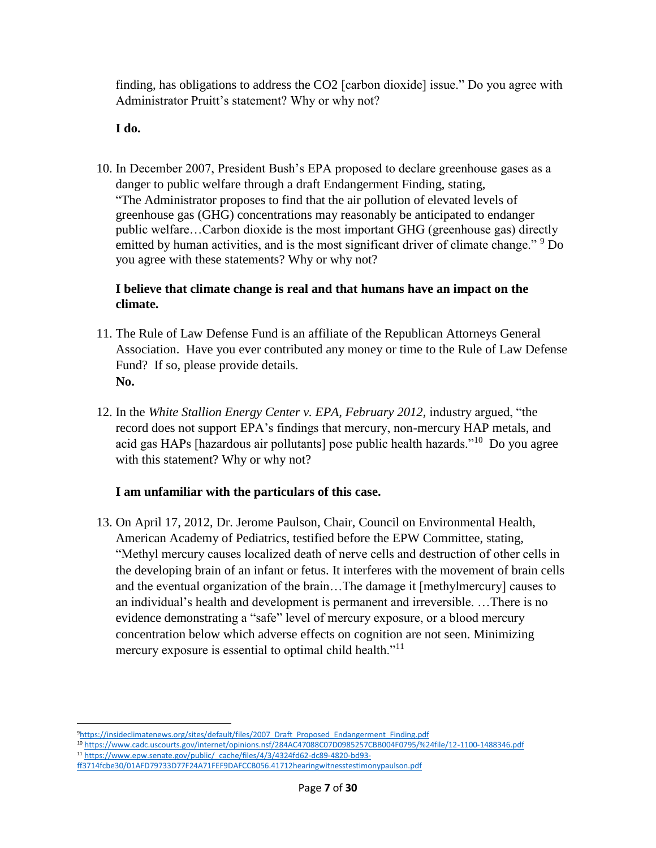finding, has obligations to address the CO2 [carbon dioxide] issue." Do you agree with Administrator Pruitt's statement? Why or why not?

### **I do.**

l

10. In December 2007, President Bush's EPA proposed to declare greenhouse gases as a danger to public welfare through a draft Endangerment Finding, stating, "The Administrator proposes to find that the air pollution of elevated levels of greenhouse gas (GHG) concentrations may reasonably be anticipated to endanger public welfare…Carbon dioxide is the most important GHG (greenhouse gas) directly emitted by human activities, and is the most significant driver of climate change."<sup>9</sup> Do you agree with these statements? Why or why not?

### **I believe that climate change is real and that humans have an impact on the climate.**

- 11. The Rule of Law Defense Fund is an affiliate of the Republican Attorneys General Association. Have you ever contributed any money or time to the Rule of Law Defense Fund? If so, please provide details. **No.**
- 12. In the *White Stallion Energy Center v. EPA, February 2012,* industry argued, "the record does not support EPA's findings that mercury, non-mercury HAP metals, and acid gas HAPs [hazardous air pollutants] pose public health hazards."<sup>10</sup> Do you agree with this statement? Why or why not?

## **I am unfamiliar with the particulars of this case.**

13. On April 17, 2012, Dr. Jerome Paulson, Chair, Council on Environmental Health, American Academy of Pediatrics, testified before the EPW Committee, stating, "Methyl mercury causes localized death of nerve cells and destruction of other cells in the developing brain of an infant or fetus. It interferes with the movement of brain cells and the eventual organization of the brain…The damage it [methylmercury] causes to an individual's health and development is permanent and irreversible. …There is no evidence demonstrating a "safe" level of mercury exposure, or a blood mercury concentration below which adverse effects on cognition are not seen. Minimizing mercury exposure is essential to optimal child health."<sup>11</sup>

<sup>9</sup>[https://insideclimatenews.org/sites/default/files/2007\\_Draft\\_Proposed\\_Endangerment\\_Finding.pdf](https://insideclimatenews.org/sites/default/files/2007_Draft_Proposed_Endangerment_Finding.pdf)

<sup>10</sup> <https://www.cadc.uscourts.gov/internet/opinions.nsf/284AC47088C07D0985257CBB004F0795/%24file/12-1100-1488346.pdf> 11 [https://www.epw.senate.gov/public/\\_cache/files/4/3/4324fd62-dc89-4820-bd93-](https://www.epw.senate.gov/public/_cache/files/4/3/4324fd62-dc89-4820-bd93-ff3714fcbe30/01AFD79733D77F24A71FEF9DAFCCB056.41712hearingwitnesstestimonypaulson.pdf)

[ff3714fcbe30/01AFD79733D77F24A71FEF9DAFCCB056.41712hearingwitnesstestimonypaulson.pdf](https://www.epw.senate.gov/public/_cache/files/4/3/4324fd62-dc89-4820-bd93-ff3714fcbe30/01AFD79733D77F24A71FEF9DAFCCB056.41712hearingwitnesstestimonypaulson.pdf)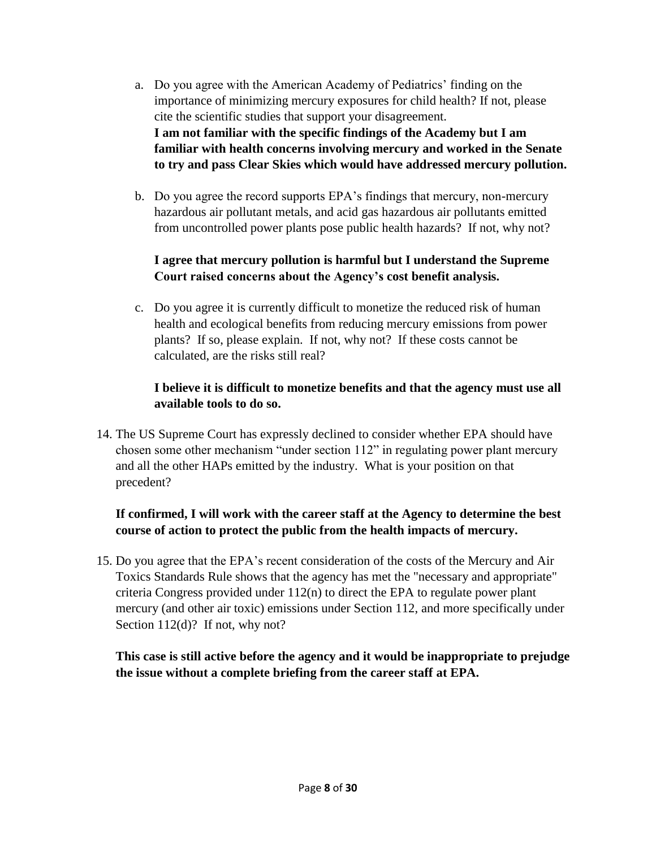- a. Do you agree with the American Academy of Pediatrics' finding on the importance of minimizing mercury exposures for child health? If not, please cite the scientific studies that support your disagreement. **I am not familiar with the specific findings of the Academy but I am familiar with health concerns involving mercury and worked in the Senate to try and pass Clear Skies which would have addressed mercury pollution.**
- b. Do you agree the record supports EPA's findings that mercury, non-mercury hazardous air pollutant metals, and acid gas hazardous air pollutants emitted from uncontrolled power plants pose public health hazards? If not, why not?

## **I agree that mercury pollution is harmful but I understand the Supreme Court raised concerns about the Agency's cost benefit analysis.**

c. Do you agree it is currently difficult to monetize the reduced risk of human health and ecological benefits from reducing mercury emissions from power plants? If so, please explain. If not, why not? If these costs cannot be calculated, are the risks still real?

## **I believe it is difficult to monetize benefits and that the agency must use all available tools to do so.**

14. The US Supreme Court has expressly declined to consider whether EPA should have chosen some other mechanism "under section 112" in regulating power plant mercury and all the other HAPs emitted by the industry. What is your position on that precedent?

## **If confirmed, I will work with the career staff at the Agency to determine the best course of action to protect the public from the health impacts of mercury.**

15. Do you agree that the EPA's recent consideration of the costs of the Mercury and Air Toxics Standards Rule shows that the agency has met the "necessary and appropriate" criteria Congress provided under 112(n) to direct the EPA to regulate power plant mercury (and other air toxic) emissions under Section 112, and more specifically under Section 112(d)? If not, why not?

**This case is still active before the agency and it would be inappropriate to prejudge the issue without a complete briefing from the career staff at EPA.**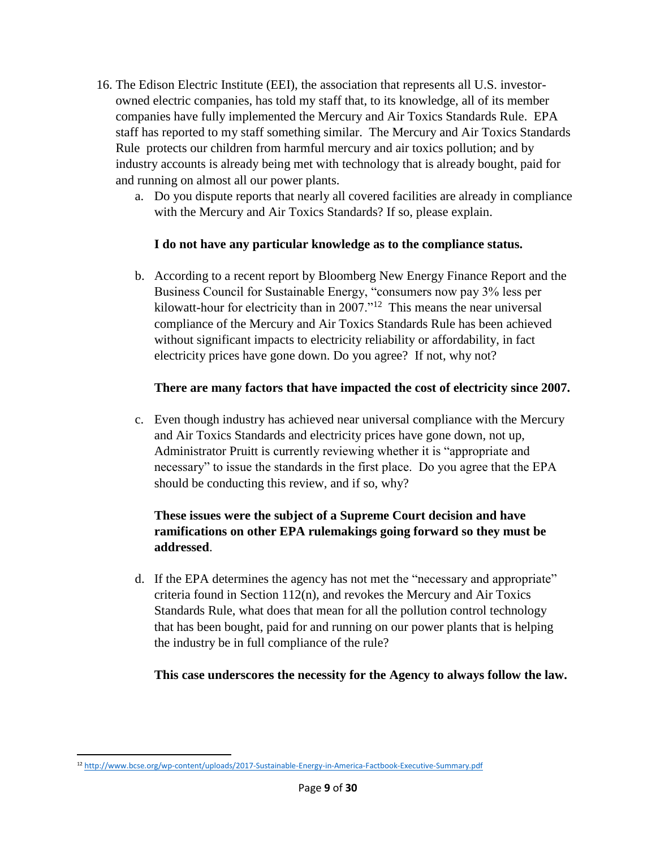- 16. The Edison Electric Institute (EEI), the association that represents all U.S. investorowned electric companies, has told my staff that, to its knowledge, all of its member companies have fully implemented the Mercury and Air Toxics Standards Rule. EPA staff has reported to my staff something similar. The Mercury and Air Toxics Standards Rule protects our children from harmful mercury and air toxics pollution; and by industry accounts is already being met with technology that is already bought, paid for and running on almost all our power plants.
	- a. Do you dispute reports that nearly all covered facilities are already in compliance with the Mercury and Air Toxics Standards? If so, please explain.

## **I do not have any particular knowledge as to the compliance status.**

b. According to a recent report by Bloomberg New Energy Finance Report and the Business Council for Sustainable Energy, "consumers now pay 3% less per kilowatt-hour for electricity than in  $2007.^{12}$  This means the near universal compliance of the Mercury and Air Toxics Standards Rule has been achieved without significant impacts to electricity reliability or affordability, in fact electricity prices have gone down. Do you agree? If not, why not?

### **There are many factors that have impacted the cost of electricity since 2007.**

c. Even though industry has achieved near universal compliance with the Mercury and Air Toxics Standards and electricity prices have gone down, not up, Administrator Pruitt is currently reviewing whether it is "appropriate and necessary" to issue the standards in the first place. Do you agree that the EPA should be conducting this review, and if so, why?

## **These issues were the subject of a Supreme Court decision and have ramifications on other EPA rulemakings going forward so they must be addressed**.

d. If the EPA determines the agency has not met the "necessary and appropriate" criteria found in Section 112(n), and revokes the Mercury and Air Toxics Standards Rule, what does that mean for all the pollution control technology that has been bought, paid for and running on our power plants that is helping the industry be in full compliance of the rule?

**This case underscores the necessity for the Agency to always follow the law.**

l <sup>12</sup> <http://www.bcse.org/wp-content/uploads/2017-Sustainable-Energy-in-America-Factbook-Executive-Summary.pdf>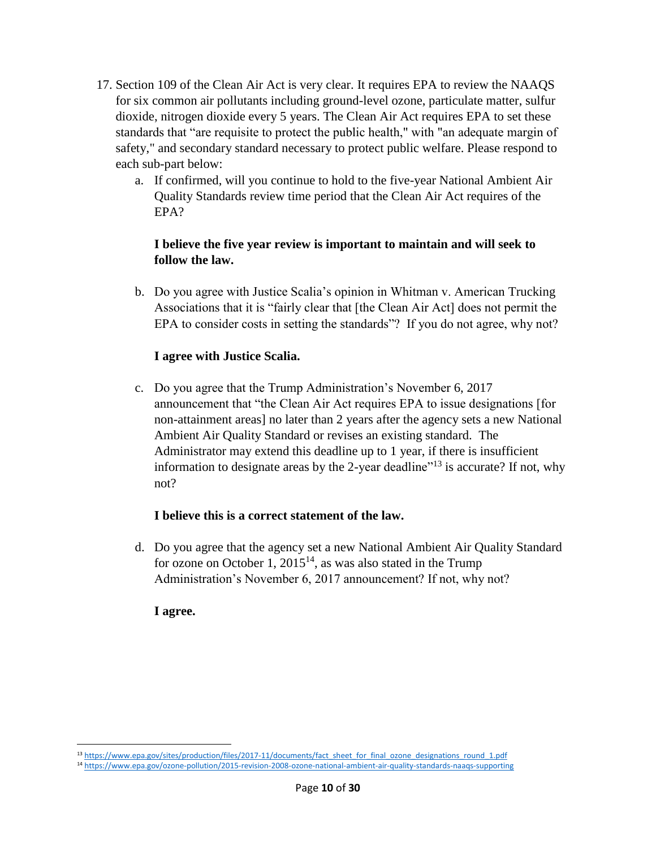- 17. Section 109 of the Clean Air Act is very clear. It requires EPA to review the NAAQS for six common air pollutants including ground-level ozone, particulate matter, sulfur dioxide, nitrogen dioxide every 5 years. The Clean Air Act requires EPA to set these standards that "are requisite to protect the public health," with "an adequate margin of safety," and secondary standard necessary to protect public welfare. Please respond to each sub-part below:
	- a. If confirmed, will you continue to hold to the five-year National Ambient Air Quality Standards review time period that the Clean Air Act requires of the EPA?

### **I believe the five year review is important to maintain and will seek to follow the law.**

b. Do you agree with Justice Scalia's opinion in Whitman v. American Trucking Associations that it is "fairly clear that [the Clean Air Act] does not permit the EPA to consider costs in setting the standards"? If you do not agree, why not?

### **I agree with Justice Scalia.**

c. Do you agree that the Trump Administration's November 6, 2017 announcement that "the Clean Air Act requires EPA to issue designations [for non-attainment areas] no later than 2 years after the agency sets a new National Ambient Air Quality Standard or revises an existing standard. The Administrator may extend this deadline up to 1 year, if there is insufficient information to designate areas by the 2-year deadline $^{\prime\prime}$ <sup>13</sup> is accurate? If not, why not?

## **I believe this is a correct statement of the law.**

d. Do you agree that the agency set a new National Ambient Air Quality Standard for ozone on October 1,  $2015^{14}$ , as was also stated in the Trump Administration's November 6, 2017 announcement? If not, why not?

#### **I agree.**

 $\overline{a}$ <sup>13</sup> [https://www.epa.gov/sites/production/files/2017-11/documents/fact\\_sheet\\_for\\_final\\_ozone\\_designations\\_round\\_1.pdf](https://www.epa.gov/sites/production/files/2017-11/documents/fact_sheet_for_final_ozone_designations_round_1.pdf)

<sup>14</sup> <https://www.epa.gov/ozone-pollution/2015-revision-2008-ozone-national-ambient-air-quality-standards-naaqs-supporting>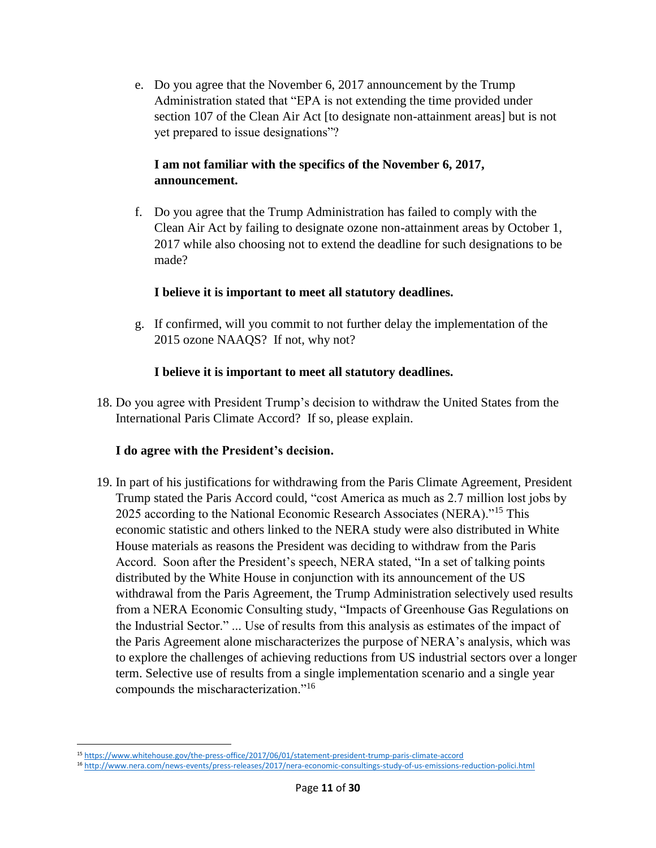e. Do you agree that the November 6, 2017 announcement by the Trump Administration stated that "EPA is not extending the time provided under section 107 of the Clean Air Act [to designate non-attainment areas] but is not yet prepared to issue designations"?

### **I am not familiar with the specifics of the November 6, 2017, announcement.**

f. Do you agree that the Trump Administration has failed to comply with the Clean Air Act by failing to designate ozone non-attainment areas by October 1, 2017 while also choosing not to extend the deadline for such designations to be made?

### **I believe it is important to meet all statutory deadlines.**

g. If confirmed, will you commit to not further delay the implementation of the 2015 ozone NAAQS? If not, why not?

### **I believe it is important to meet all statutory deadlines.**

18. Do you agree with President Trump's decision to withdraw the United States from the International Paris Climate Accord? If so, please explain.

#### **I do agree with the President's decision.**

19. In part of his justifications for withdrawing from the Paris Climate Agreement, President Trump stated the Paris Accord could, "cost America as much as 2.7 million lost jobs by 2025 according to the National Economic Research Associates (NERA)."<sup>15</sup> This economic statistic and others linked to the NERA study were also distributed in White House materials as reasons the President was deciding to withdraw from the Paris Accord. Soon after the President's speech, NERA stated, "In a set of talking points distributed by the White House in conjunction with its announcement of the US withdrawal from the Paris Agreement, the Trump Administration selectively used results from a NERA Economic Consulting study, "Impacts of Greenhouse Gas Regulations on the Industrial Sector." ... Use of results from this analysis as estimates of the impact of the Paris Agreement alone mischaracterizes the purpose of NERA's analysis, which was to explore the challenges of achieving reductions from US industrial sectors over a longer term. Selective use of results from a single implementation scenario and a single year compounds the mischaracterization."<sup>16</sup>

 $\overline{a}$ <sup>15</sup> <https://www.whitehouse.gov/the-press-office/2017/06/01/statement-president-trump-paris-climate-accord>

<sup>16</sup> <http://www.nera.com/news-events/press-releases/2017/nera-economic-consultings-study-of-us-emissions-reduction-polici.html>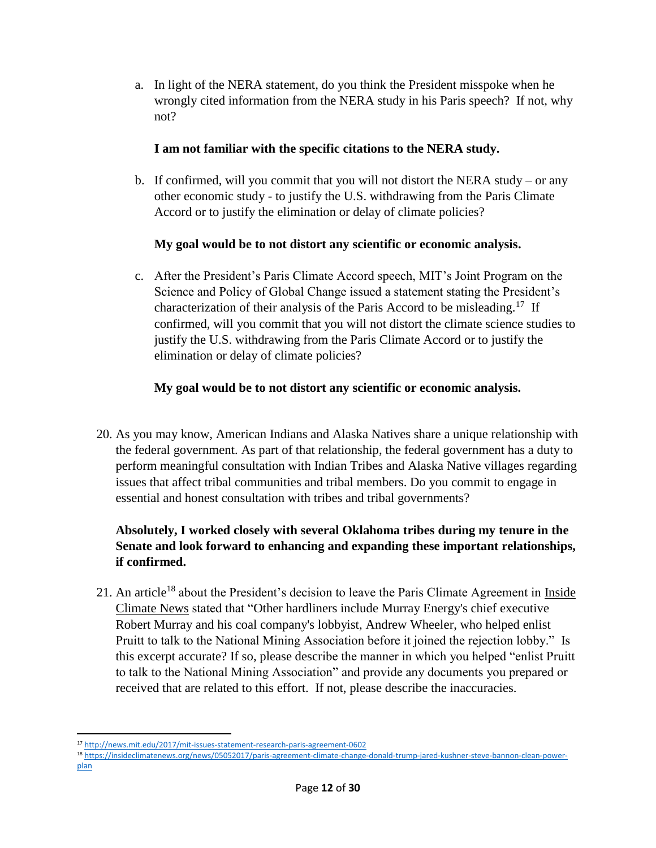a. In light of the NERA statement, do you think the President misspoke when he wrongly cited information from the NERA study in his Paris speech? If not, why not?

## **I am not familiar with the specific citations to the NERA study.**

b. If confirmed, will you commit that you will not distort the NERA study – or any other economic study - to justify the U.S. withdrawing from the Paris Climate Accord or to justify the elimination or delay of climate policies?

# **My goal would be to not distort any scientific or economic analysis.**

c. After the President's Paris Climate Accord speech, MIT's Joint Program on the Science and Policy of Global Change issued a statement stating the President's characterization of their analysis of the Paris Accord to be misleading.<sup>17</sup> If confirmed, will you commit that you will not distort the climate science studies to justify the U.S. withdrawing from the Paris Climate Accord or to justify the elimination or delay of climate policies?

# **My goal would be to not distort any scientific or economic analysis.**

20. As you may know, American Indians and Alaska Natives share a unique relationship with the federal government. As part of that relationship, the federal government has a duty to perform meaningful consultation with Indian Tribes and Alaska Native villages regarding issues that affect tribal communities and tribal members. Do you commit to engage in essential and honest consultation with tribes and tribal governments?

# **Absolutely, I worked closely with several Oklahoma tribes during my tenure in the Senate and look forward to enhancing and expanding these important relationships, if confirmed.**

21. An article<sup>18</sup> about the President's decision to leave the Paris Climate Agreement in Inside Climate News stated that "Other hardliners include Murray Energy's chief executive Robert Murray and his coal company's lobbyist, Andrew Wheeler, who helped enlist Pruitt to talk to the National Mining Association before it joined the rejection lobby." Is this excerpt accurate? If so, please describe the manner in which you helped "enlist Pruitt to talk to the National Mining Association" and provide any documents you prepared or received that are related to this effort. If not, please describe the inaccuracies.

 $\overline{a}$ <sup>17</sup> <http://news.mit.edu/2017/mit-issues-statement-research-paris-agreement-0602>

<sup>18</sup> [https://insideclimatenews.org/news/05052017/paris-agreement-climate-change-donald-trump-jared-kushner-steve-bannon-clean-power](https://insideclimatenews.org/news/05052017/paris-agreement-climate-change-donald-trump-jared-kushner-steve-bannon-clean-power-plan)[plan](https://insideclimatenews.org/news/05052017/paris-agreement-climate-change-donald-trump-jared-kushner-steve-bannon-clean-power-plan)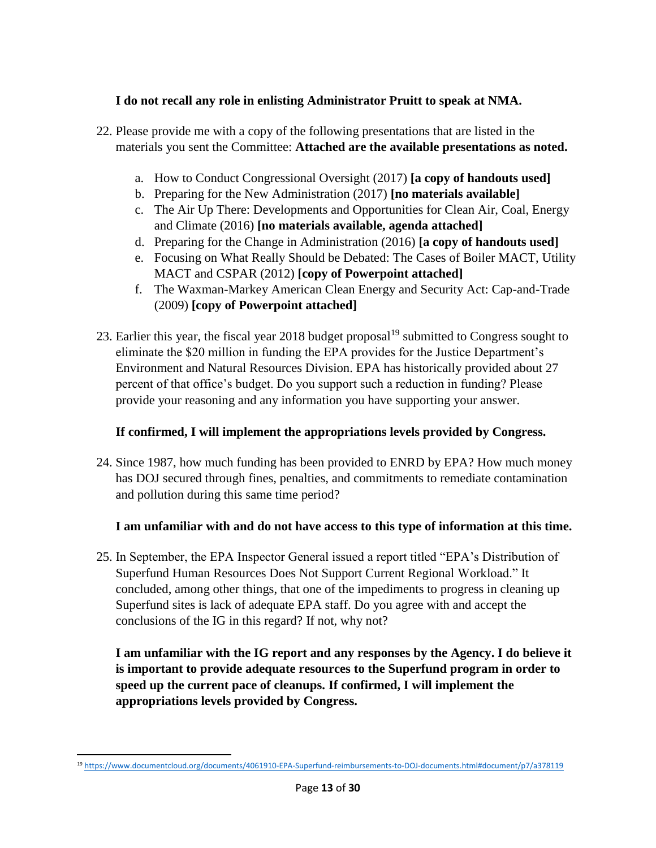## **I do not recall any role in enlisting Administrator Pruitt to speak at NMA.**

- 22. Please provide me with a copy of the following presentations that are listed in the materials you sent the Committee: **Attached are the available presentations as noted.**
	- a. How to Conduct Congressional Oversight (2017) **[a copy of handouts used]**
	- b. Preparing for the New Administration (2017) **[no materials available]**
	- c. The Air Up There: Developments and Opportunities for Clean Air, Coal, Energy and Climate (2016) **[no materials available, agenda attached]**
	- d. Preparing for the Change in Administration (2016) **[a copy of handouts used]**
	- e. Focusing on What Really Should be Debated: The Cases of Boiler MACT, Utility MACT and CSPAR (2012) **[copy of Powerpoint attached]**
	- f. The Waxman-Markey American Clean Energy and Security Act: Cap-and-Trade (2009) **[copy of Powerpoint attached]**
- 23. Earlier this year, the fiscal year 2018 budget proposal<sup>19</sup> submitted to Congress sought to eliminate the \$20 million in funding the EPA provides for the Justice Department's Environment and Natural Resources Division. EPA has historically provided about 27 percent of that office's budget. Do you support such a reduction in funding? Please provide your reasoning and any information you have supporting your answer.

# **If confirmed, I will implement the appropriations levels provided by Congress.**

24. Since 1987, how much funding has been provided to ENRD by EPA? How much money has DOJ secured through fines, penalties, and commitments to remediate contamination and pollution during this same time period?

# **I am unfamiliar with and do not have access to this type of information at this time.**

25. In September, the EPA Inspector General issued a report titled "EPA's Distribution of Superfund Human Resources Does Not Support Current Regional Workload." It concluded, among other things, that one of the impediments to progress in cleaning up Superfund sites is lack of adequate EPA staff. Do you agree with and accept the conclusions of the IG in this regard? If not, why not?

**I am unfamiliar with the IG report and any responses by the Agency. I do believe it is important to provide adequate resources to the Superfund program in order to speed up the current pace of cleanups. If confirmed, I will implement the appropriations levels provided by Congress.**

l <sup>19</sup> <https://www.documentcloud.org/documents/4061910-EPA-Superfund-reimbursements-to-DOJ-documents.html#document/p7/a378119>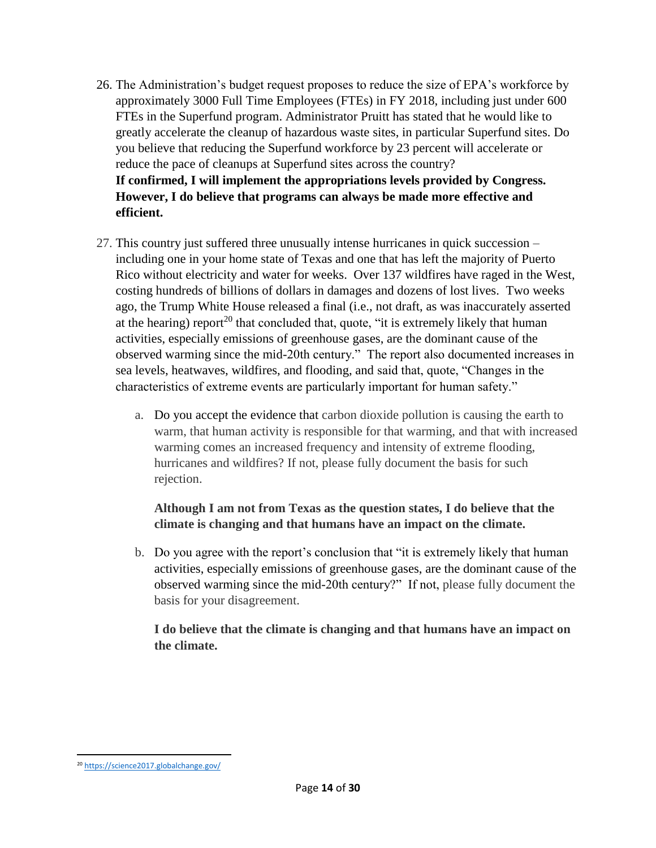- 26. The Administration's budget request proposes to reduce the size of EPA's workforce by approximately 3000 Full Time Employees (FTEs) in FY 2018, including just under 600 FTEs in the Superfund program. Administrator Pruitt has stated that he would like to greatly accelerate the cleanup of hazardous waste sites, in particular Superfund sites. Do you believe that reducing the Superfund workforce by 23 percent will accelerate or reduce the pace of cleanups at Superfund sites across the country? **If confirmed, I will implement the appropriations levels provided by Congress. However, I do believe that programs can always be made more effective and efficient.**
- 27. This country just suffered three unusually intense hurricanes in quick succession including one in your home state of Texas and one that has left the majority of Puerto Rico without electricity and water for weeks. Over 137 wildfires have raged in the West, costing hundreds of billions of dollars in damages and dozens of lost lives. Two weeks ago, the Trump White House released a final (i.e., not draft, as was inaccurately asserted at the hearing) report<sup>20</sup> that concluded that, quote, "it is extremely likely that human activities, especially emissions of greenhouse gases, are the dominant cause of the observed warming since the mid-20th century." The report also documented increases in sea levels, heatwaves, wildfires, and flooding, and said that, quote, "Changes in the characteristics of extreme events are particularly important for human safety."
	- a. Do you accept the evidence that carbon dioxide pollution is causing the earth to warm, that human activity is responsible for that warming, and that with increased warming comes an increased frequency and intensity of extreme flooding, hurricanes and wildfires? If not, please fully document the basis for such rejection.

## **Although I am not from Texas as the question states, I do believe that the climate is changing and that humans have an impact on the climate.**

b. Do you agree with the report's conclusion that "it is extremely likely that human activities, especially emissions of greenhouse gases, are the dominant cause of the observed warming since the mid-20th century?" If not, please fully document the basis for your disagreement.

## **I do believe that the climate is changing and that humans have an impact on the climate.**

l <sup>20</sup> <https://science2017.globalchange.gov/>